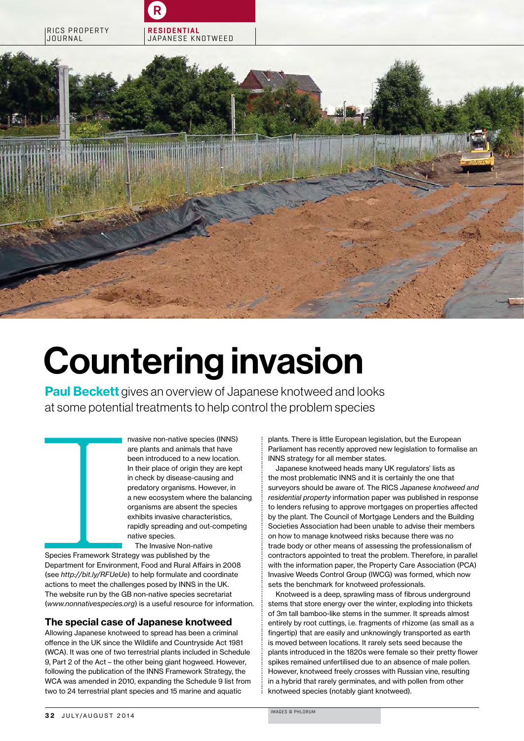

# Countering invasion

**Paul Beckett** gives an overview of Japanese knotweed and looks at some potential treatments to help control the problem species

> nvasive non-native species (INNS) are plants and animals that have been introduced to a new location. In their place of origin they are kept in check by disease-causing and predatory organisms. However, in a new ecosystem where the balancing organisms are absent the species exhibits invasive characteristics, rapidly spreading and out-competing native species.

at some potential tr<br>
was<br>
are poster in the<br>
in ch<br>
in ch<br>
in ch<br>
in ch<br>
in ch<br>
a nev<br>
orga<br>
exhit<br>
rapic<br>
mativ<br>
Th<br>
Species Framework Strategy<br>
Department for Environment, I<br>
(see *http://bit.ly/RFUeUe*) to t<br>
actions t The Invasive Non-native Species Framework Strategy was published by the Department for Environment, Food and Rural Affairs in 2008 (see *http://bit.ly/RFUeUe*) to help formulate and coordinate actions to meet the challenges posed by INNS in the UK. The website run by the GB non-native species secretariat (*www.nonnativespecies.org*) is a useful resource for information.

### The special case of Japanese knotweed

Allowing Japanese knotweed to spread has been a criminal offence in the UK since the Wildlife and Countryside Act 1981 (WCA). It was one of two terrestrial plants included in Schedule 9, Part 2 of the Act – the other being giant hogweed. However, following the publication of the INNS Framework Strategy, the WCA was amended in 2010, expanding the Schedule 9 list from two to 24 terrestrial plant species and 15 marine and aquatic

plants. There is little European legislation, but the European Parliament has recently approved new legislation to formalise an INNS strategy for all member states.

Japanese knotweed heads many UK regulators' lists as the most problematic INNS and it is certainly the one that surveyors should be aware of. The RICS *Japanese knotweed and residential property* information paper was published in response to lenders refusing to approve mortgages on properties affected by the plant. The Council of Mortgage Lenders and the Building Societies Association had been unable to advise their members on how to manage knotweed risks because there was no trade body or other means of assessing the professionalism of contractors appointed to treat the problem. Therefore, in parallel with the information paper, the Property Care Association (PCA) Invasive Weeds Control Group (IWCG) was formed, which now sets the benchmark for knotweed professionals.

Knotweed is a deep, sprawling mass of fibrous underground stems that store energy over the winter, exploding into thickets of 3m tall bamboo-like stems in the summer. It spreads almost entirely by root cuttings, i.e. fragments of rhizome (as small as a fingertip) that are easily and unknowingly transported as earth is moved between locations. It rarely sets seed because the plants introduced in the 1820s were female so their pretty flower spikes remained unfertilised due to an absence of male pollen. However, knotweed freely crosses with Russian vine, resulting in a hybrid that rarely germinates, and with pollen from other knotweed species (notably giant knotweed).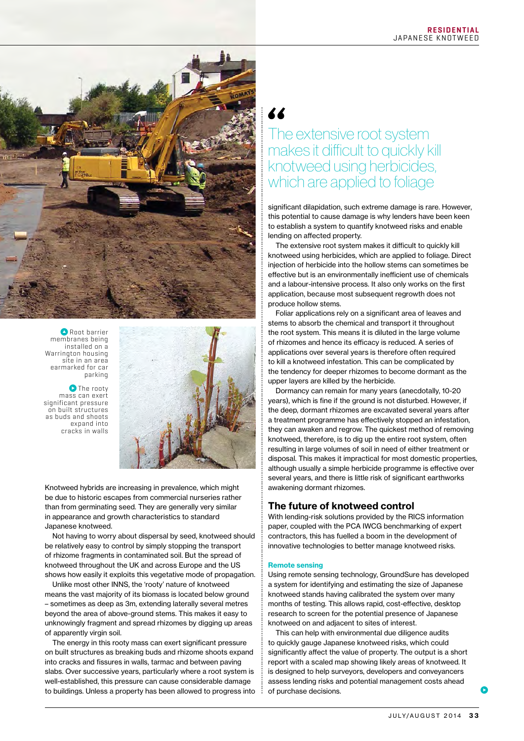

**Root barrier** membranes being installed on a Warrington housing site in an area earmarked for car parking

**O** The rooty mass can exert significant pressure on built structures as buds and shoots expand into cracks in walls



Knotweed hybrids are increasing in prevalence, which might be due to historic escapes from commercial nurseries rather than from germinating seed. They are generally very similar in appearance and growth characteristics to standard Japanese knotweed.

Not having to worry about dispersal by seed, knotweed should be relatively easy to control by simply stopping the transport of rhizome fragments in contaminated soil. But the spread of knotweed throughout the UK and across Europe and the US shows how easily it exploits this vegetative mode of propagation.

Unlike most other INNS, the 'rooty' nature of knotweed means the vast majority of its biomass is located below ground – sometimes as deep as 3m, extending laterally several metres beyond the area of above-ground stems. This makes it easy to unknowingly fragment and spread rhizomes by digging up areas of apparently virgin soil.

The energy in this rooty mass can exert significant pressure on built structures as breaking buds and rhizome shoots expand into cracks and fissures in walls, tarmac and between paving slabs. Over successive years, particularly where a root system is well-established, this pressure can cause considerable damage to buildings. Unless a property has been allowed to progress into

# The extensive root system makes it difficult to quickly kill knotweed using herbicides, which are applied to foliage

significant dilapidation, such extreme damage is rare. However, this potential to cause damage is why lenders have been keen to establish a system to quantify knotweed risks and enable lending on affected property.

The extensive root system makes it difficult to quickly kill knotweed using herbicides, which are applied to foliage. Direct injection of herbicide into the hollow stems can sometimes be effective but is an environmentally inefficient use of chemicals and a labour-intensive process. It also only works on the first application, because most subsequent regrowth does not produce hollow stems.

Foliar applications rely on a significant area of leaves and stems to absorb the chemical and transport it throughout the root system. This means it is diluted in the large volume of rhizomes and hence its efficacy is reduced. A series of applications over several years is therefore often required to kill a knotweed infestation. This can be complicated by the tendency for deeper rhizomes to become dormant as the upper layers are killed by the herbicide.

Dormancy can remain for many years (anecdotally, 10-20 years), which is fine if the ground is not disturbed. However, if the deep, dormant rhizomes are excavated several years after a treatment programme has effectively stopped an infestation, they can awaken and regrow. The quickest method of removing knotweed, therefore, is to dig up the entire root system, often resulting in large volumes of soil in need of either treatment or disposal. This makes it impractical for most domestic properties, although usually a simple herbicide programme is effective over several years, and there is little risk of significant earthworks awakening dormant rhizomes.

## The future of knotweed control

With lending-risk solutions provided by the RICS information paper, coupled with the PCA IWCG benchmarking of expert contractors, this has fuelled a boom in the development of innovative technologies to better manage knotweed risks.

#### Remote sensing

Using remote sensing technology, GroundSure has developed a system for identifying and estimating the size of Japanese knotweed stands having calibrated the system over many months of testing. This allows rapid, cost-effective, desktop research to screen for the potential presence of Japanese knotweed on and adjacent to sites of interest.

This can help with environmental due diligence audits to quickly gauge Japanese knotweed risks, which could significantly affect the value of property. The output is a short report with a scaled map showing likely areas of knotweed. It is designed to help surveyors, developers and conveyancers assess lending risks and potential management costs ahead of purchase decisions.